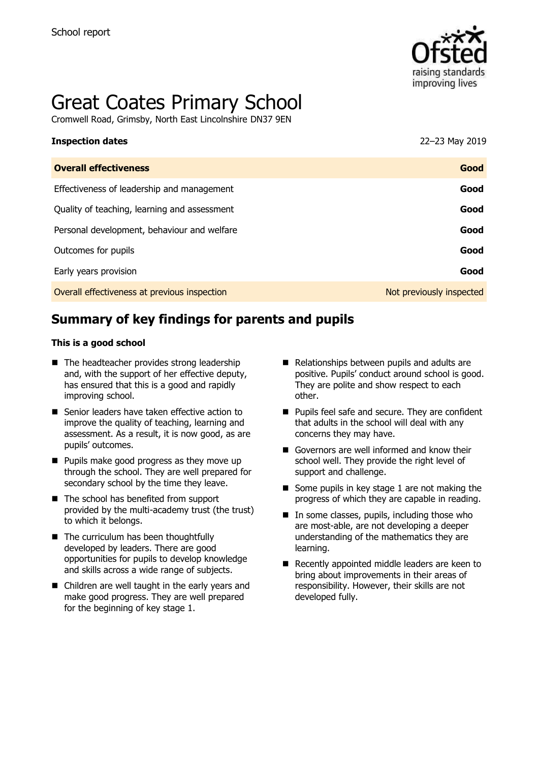

# Great Coates Primary School

Cromwell Road, Grimsby, North East Lincolnshire DN37 9EN

| <b>Inspection dates</b>                      | 22-23 May 2019           |
|----------------------------------------------|--------------------------|
| <b>Overall effectiveness</b>                 | Good                     |
| Effectiveness of leadership and management   | Good                     |
| Quality of teaching, learning and assessment | Good                     |
| Personal development, behaviour and welfare  | Good                     |
| Outcomes for pupils                          | Good                     |
| Early years provision                        | Good                     |
| Overall effectiveness at previous inspection | Not previously inspected |

# **Summary of key findings for parents and pupils**

#### **This is a good school**

- The headteacher provides strong leadership and, with the support of her effective deputy, has ensured that this is a good and rapidly improving school.
- Senior leaders have taken effective action to improve the quality of teaching, learning and assessment. As a result, it is now good, as are pupils' outcomes.
- Pupils make good progress as they move up through the school. They are well prepared for secondary school by the time they leave.
- The school has benefited from support provided by the multi-academy trust (the trust) to which it belongs.
- The curriculum has been thoughtfully developed by leaders. There are good opportunities for pupils to develop knowledge and skills across a wide range of subjects.
- Children are well taught in the early years and make good progress. They are well prepared for the beginning of key stage 1.
- Relationships between pupils and adults are positive. Pupils' conduct around school is good. They are polite and show respect to each other.
- Pupils feel safe and secure. They are confident that adults in the school will deal with any concerns they may have.
- Governors are well informed and know their school well. They provide the right level of support and challenge.
- Some pupils in key stage 1 are not making the progress of which they are capable in reading.
- In some classes, pupils, including those who are most-able, are not developing a deeper understanding of the mathematics they are learning.
- Recently appointed middle leaders are keen to bring about improvements in their areas of responsibility. However, their skills are not developed fully.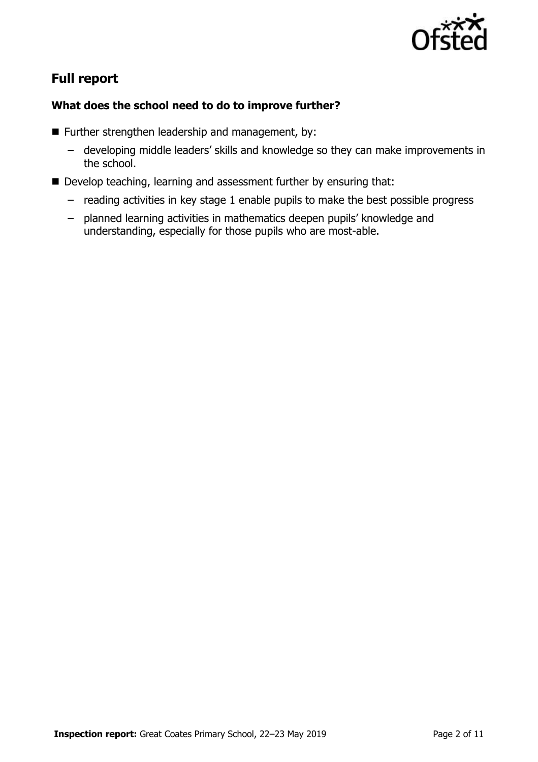

# **Full report**

### **What does the school need to do to improve further?**

- Further strengthen leadership and management, by:
	- developing middle leaders' skills and knowledge so they can make improvements in the school.
- Develop teaching, learning and assessment further by ensuring that:
	- reading activities in key stage 1 enable pupils to make the best possible progress
	- planned learning activities in mathematics deepen pupils' knowledge and understanding, especially for those pupils who are most-able.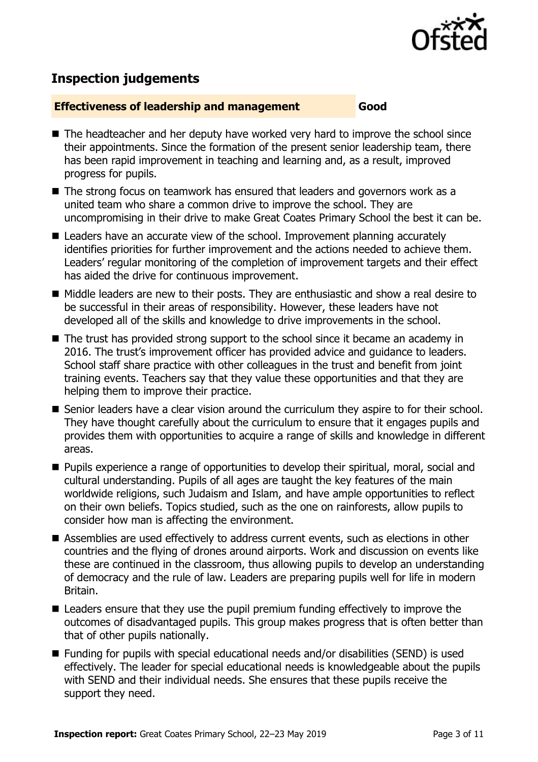

## **Inspection judgements**

#### **Effectiveness of leadership and management Good**

- The headteacher and her deputy have worked very hard to improve the school since their appointments. Since the formation of the present senior leadership team, there has been rapid improvement in teaching and learning and, as a result, improved progress for pupils.
- The strong focus on teamwork has ensured that leaders and governors work as a united team who share a common drive to improve the school. They are uncompromising in their drive to make Great Coates Primary School the best it can be.
- Leaders have an accurate view of the school. Improvement planning accurately identifies priorities for further improvement and the actions needed to achieve them. Leaders' regular monitoring of the completion of improvement targets and their effect has aided the drive for continuous improvement.
- Middle leaders are new to their posts. They are enthusiastic and show a real desire to be successful in their areas of responsibility. However, these leaders have not developed all of the skills and knowledge to drive improvements in the school.
- The trust has provided strong support to the school since it became an academy in 2016. The trust's improvement officer has provided advice and guidance to leaders. School staff share practice with other colleagues in the trust and benefit from joint training events. Teachers say that they value these opportunities and that they are helping them to improve their practice.
- Senior leaders have a clear vision around the curriculum they aspire to for their school. They have thought carefully about the curriculum to ensure that it engages pupils and provides them with opportunities to acquire a range of skills and knowledge in different areas.
- Pupils experience a range of opportunities to develop their spiritual, moral, social and cultural understanding. Pupils of all ages are taught the key features of the main worldwide religions, such Judaism and Islam, and have ample opportunities to reflect on their own beliefs. Topics studied, such as the one on rainforests, allow pupils to consider how man is affecting the environment.
- Assemblies are used effectively to address current events, such as elections in other countries and the flying of drones around airports. Work and discussion on events like these are continued in the classroom, thus allowing pupils to develop an understanding of democracy and the rule of law. Leaders are preparing pupils well for life in modern Britain.
- Leaders ensure that they use the pupil premium funding effectively to improve the outcomes of disadvantaged pupils. This group makes progress that is often better than that of other pupils nationally.
- Funding for pupils with special educational needs and/or disabilities (SEND) is used effectively. The leader for special educational needs is knowledgeable about the pupils with SEND and their individual needs. She ensures that these pupils receive the support they need.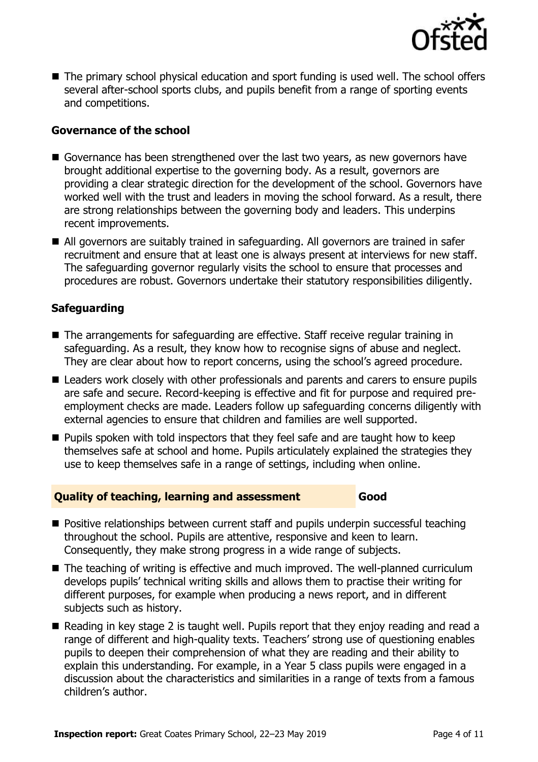

■ The primary school physical education and sport funding is used well. The school offers several after-school sports clubs, and pupils benefit from a range of sporting events and competitions.

### **Governance of the school**

- Governance has been strengthened over the last two years, as new governors have brought additional expertise to the governing body. As a result, governors are providing a clear strategic direction for the development of the school. Governors have worked well with the trust and leaders in moving the school forward. As a result, there are strong relationships between the governing body and leaders. This underpins recent improvements.
- All governors are suitably trained in safeguarding. All governors are trained in safer recruitment and ensure that at least one is always present at interviews for new staff. The safeguarding governor regularly visits the school to ensure that processes and procedures are robust. Governors undertake their statutory responsibilities diligently.

#### **Safeguarding**

- The arrangements for safeguarding are effective. Staff receive regular training in safeguarding. As a result, they know how to recognise signs of abuse and neglect. They are clear about how to report concerns, using the school's agreed procedure.
- Leaders work closely with other professionals and parents and carers to ensure pupils are safe and secure. Record-keeping is effective and fit for purpose and required preemployment checks are made. Leaders follow up safeguarding concerns diligently with external agencies to ensure that children and families are well supported.
- Pupils spoken with told inspectors that they feel safe and are taught how to keep themselves safe at school and home. Pupils articulately explained the strategies they use to keep themselves safe in a range of settings, including when online.

### **Quality of teaching, learning and assessment Good**

- Positive relationships between current staff and pupils underpin successful teaching throughout the school. Pupils are attentive, responsive and keen to learn. Consequently, they make strong progress in a wide range of subjects.
- The teaching of writing is effective and much improved. The well-planned curriculum develops pupils' technical writing skills and allows them to practise their writing for different purposes, for example when producing a news report, and in different subjects such as history.
- Reading in key stage 2 is taught well. Pupils report that they enjoy reading and read a range of different and high-quality texts. Teachers' strong use of questioning enables pupils to deepen their comprehension of what they are reading and their ability to explain this understanding. For example, in a Year 5 class pupils were engaged in a discussion about the characteristics and similarities in a range of texts from a famous children's author.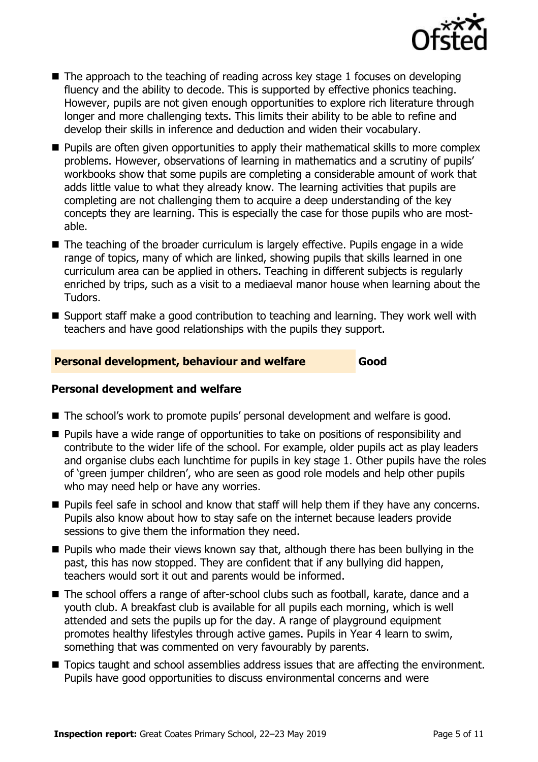

- $\blacksquare$  The approach to the teaching of reading across key stage 1 focuses on developing fluency and the ability to decode. This is supported by effective phonics teaching. However, pupils are not given enough opportunities to explore rich literature through longer and more challenging texts. This limits their ability to be able to refine and develop their skills in inference and deduction and widen their vocabulary.
- Pupils are often given opportunities to apply their mathematical skills to more complex problems. However, observations of learning in mathematics and a scrutiny of pupils' workbooks show that some pupils are completing a considerable amount of work that adds little value to what they already know. The learning activities that pupils are completing are not challenging them to acquire a deep understanding of the key concepts they are learning. This is especially the case for those pupils who are mostable.
- The teaching of the broader curriculum is largely effective. Pupils engage in a wide range of topics, many of which are linked, showing pupils that skills learned in one curriculum area can be applied in others. Teaching in different subjects is regularly enriched by trips, such as a visit to a mediaeval manor house when learning about the Tudors.
- Support staff make a good contribution to teaching and learning. They work well with teachers and have good relationships with the pupils they support.

### **Personal development, behaviour and welfare Good**

#### **Personal development and welfare**

- The school's work to promote pupils' personal development and welfare is good.
- Pupils have a wide range of opportunities to take on positions of responsibility and contribute to the wider life of the school. For example, older pupils act as play leaders and organise clubs each lunchtime for pupils in key stage 1. Other pupils have the roles of 'green jumper children', who are seen as good role models and help other pupils who may need help or have any worries.
- Pupils feel safe in school and know that staff will help them if they have any concerns. Pupils also know about how to stay safe on the internet because leaders provide sessions to give them the information they need.
- Pupils who made their views known say that, although there has been bullying in the past, this has now stopped. They are confident that if any bullying did happen, teachers would sort it out and parents would be informed.
- The school offers a range of after-school clubs such as football, karate, dance and a youth club. A breakfast club is available for all pupils each morning, which is well attended and sets the pupils up for the day. A range of playground equipment promotes healthy lifestyles through active games. Pupils in Year 4 learn to swim, something that was commented on very favourably by parents.
- Topics taught and school assemblies address issues that are affecting the environment. Pupils have good opportunities to discuss environmental concerns and were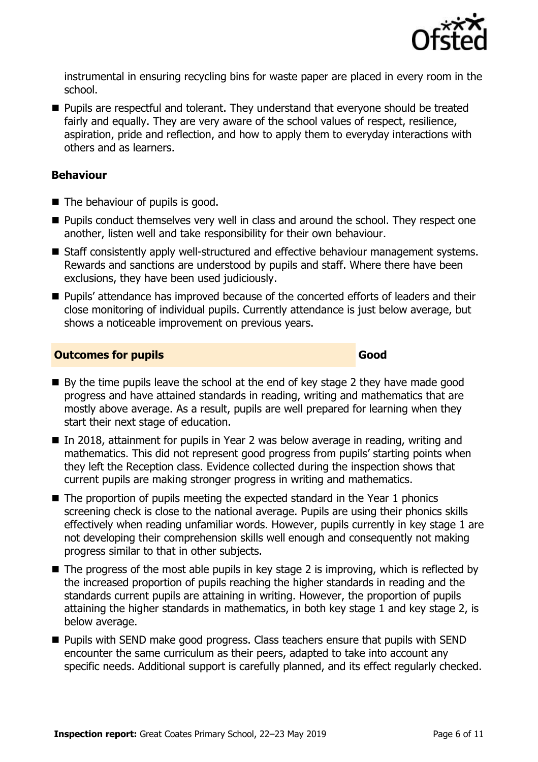

instrumental in ensuring recycling bins for waste paper are placed in every room in the school.

■ Pupils are respectful and tolerant. They understand that everyone should be treated fairly and equally. They are very aware of the school values of respect, resilience, aspiration, pride and reflection, and how to apply them to everyday interactions with others and as learners.

#### **Behaviour**

- The behaviour of pupils is good.
- Pupils conduct themselves very well in class and around the school. They respect one another, listen well and take responsibility for their own behaviour.
- Staff consistently apply well-structured and effective behaviour management systems. Rewards and sanctions are understood by pupils and staff. Where there have been exclusions, they have been used judiciously.
- Pupils' attendance has improved because of the concerted efforts of leaders and their close monitoring of individual pupils. Currently attendance is just below average, but shows a noticeable improvement on previous years.

#### **Outcomes for pupils Good**

- $\blacksquare$  By the time pupils leave the school at the end of key stage 2 they have made good progress and have attained standards in reading, writing and mathematics that are mostly above average. As a result, pupils are well prepared for learning when they start their next stage of education.
- In 2018, attainment for pupils in Year 2 was below average in reading, writing and mathematics. This did not represent good progress from pupils' starting points when they left the Reception class. Evidence collected during the inspection shows that current pupils are making stronger progress in writing and mathematics.
- The proportion of pupils meeting the expected standard in the Year 1 phonics screening check is close to the national average. Pupils are using their phonics skills effectively when reading unfamiliar words. However, pupils currently in key stage 1 are not developing their comprehension skills well enough and consequently not making progress similar to that in other subjects.
- $\blacksquare$  The progress of the most able pupils in key stage 2 is improving, which is reflected by the increased proportion of pupils reaching the higher standards in reading and the standards current pupils are attaining in writing. However, the proportion of pupils attaining the higher standards in mathematics, in both key stage 1 and key stage 2, is below average.
- Pupils with SEND make good progress. Class teachers ensure that pupils with SEND encounter the same curriculum as their peers, adapted to take into account any specific needs. Additional support is carefully planned, and its effect regularly checked.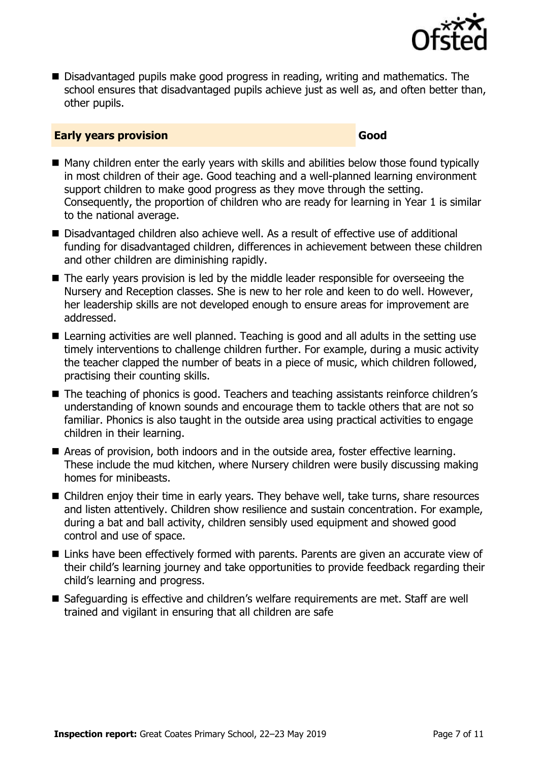

■ Disadvantaged pupils make good progress in reading, writing and mathematics. The school ensures that disadvantaged pupils achieve just as well as, and often better than, other pupils.

#### **Early years provision Good Good**

- Many children enter the early years with skills and abilities below those found typically in most children of their age. Good teaching and a well-planned learning environment support children to make good progress as they move through the setting. Consequently, the proportion of children who are ready for learning in Year 1 is similar to the national average.
- Disadvantaged children also achieve well. As a result of effective use of additional funding for disadvantaged children, differences in achievement between these children and other children are diminishing rapidly.
- The early years provision is led by the middle leader responsible for overseeing the Nursery and Reception classes. She is new to her role and keen to do well. However, her leadership skills are not developed enough to ensure areas for improvement are addressed.
- Learning activities are well planned. Teaching is good and all adults in the setting use timely interventions to challenge children further. For example, during a music activity the teacher clapped the number of beats in a piece of music, which children followed, practising their counting skills.
- The teaching of phonics is good. Teachers and teaching assistants reinforce children's understanding of known sounds and encourage them to tackle others that are not so familiar. Phonics is also taught in the outside area using practical activities to engage children in their learning.
- Areas of provision, both indoors and in the outside area, foster effective learning. These include the mud kitchen, where Nursery children were busily discussing making homes for minibeasts.
- Children enjoy their time in early years. They behave well, take turns, share resources and listen attentively. Children show resilience and sustain concentration. For example, during a bat and ball activity, children sensibly used equipment and showed good control and use of space.
- Links have been effectively formed with parents. Parents are given an accurate view of their child's learning journey and take opportunities to provide feedback regarding their child's learning and progress.
- Safeguarding is effective and children's welfare requirements are met. Staff are well trained and vigilant in ensuring that all children are safe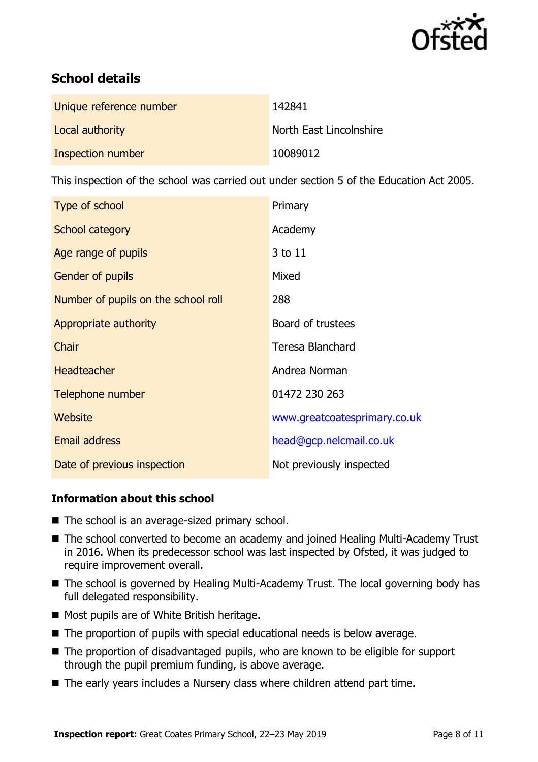

# **School details**

| Unique reference number | 142841                  |
|-------------------------|-------------------------|
| Local authority         | North East Lincolnshire |
| Inspection number       | 10089012                |

This inspection of the school was carried out under section 5 of the Education Act 2005.

| Type of school                      | Primary                      |
|-------------------------------------|------------------------------|
| School category                     | Academy                      |
| Age range of pupils                 | 3 to 11                      |
| <b>Gender of pupils</b>             | Mixed                        |
| Number of pupils on the school roll | 288                          |
| Appropriate authority               | Board of trustees            |
| Chair                               | <b>Teresa Blanchard</b>      |
| <b>Headteacher</b>                  | Andrea Norman                |
| Telephone number                    | 01472 230 263                |
| Website                             | www.greatcoatesprimary.co.uk |
| <b>Email address</b>                | head@gcp.nelcmail.co.uk      |
| Date of previous inspection         | Not previously inspected     |

### **Information about this school**

- The school is an average-sized primary school.
- The school converted to become an academy and joined Healing Multi-Academy Trust in 2016. When its predecessor school was last inspected by Ofsted, it was judged to require improvement overall.
- The school is governed by Healing Multi-Academy Trust. The local governing body has full delegated responsibility.
- Most pupils are of White British heritage.
- The proportion of pupils with special educational needs is below average.
- The proportion of disadvantaged pupils, who are known to be eligible for support through the pupil premium funding, is above average.
- The early years includes a Nursery class where children attend part time.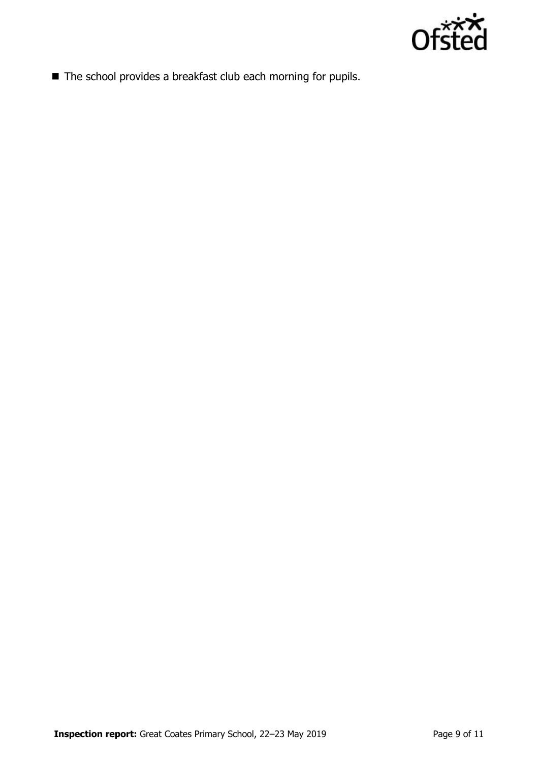

■ The school provides a breakfast club each morning for pupils.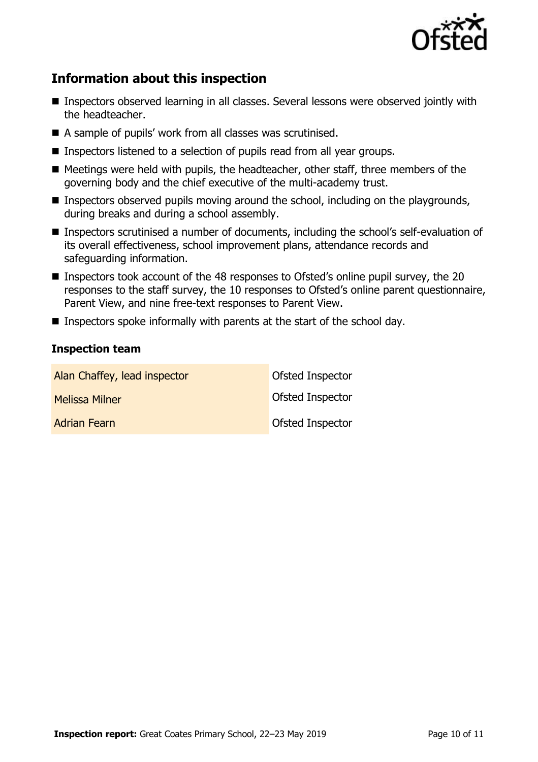

# **Information about this inspection**

- Inspectors observed learning in all classes. Several lessons were observed jointly with the headteacher.
- A sample of pupils' work from all classes was scrutinised.
- Inspectors listened to a selection of pupils read from all year groups.
- Meetings were held with pupils, the headteacher, other staff, three members of the governing body and the chief executive of the multi-academy trust.
- Inspectors observed pupils moving around the school, including on the playgrounds, during breaks and during a school assembly.
- Inspectors scrutinised a number of documents, including the school's self-evaluation of its overall effectiveness, school improvement plans, attendance records and safeguarding information.
- Inspectors took account of the 48 responses to Ofsted's online pupil survey, the 20 responses to the staff survey, the 10 responses to Ofsted's online parent questionnaire, Parent View, and nine free-text responses to Parent View.
- Inspectors spoke informally with parents at the start of the school day.

#### **Inspection team**

| Alan Chaffey, lead inspector | Ofsted Inspector        |
|------------------------------|-------------------------|
| <b>Melissa Milner</b>        | <b>Ofsted Inspector</b> |
| <b>Adrian Fearn</b>          | Ofsted Inspector        |